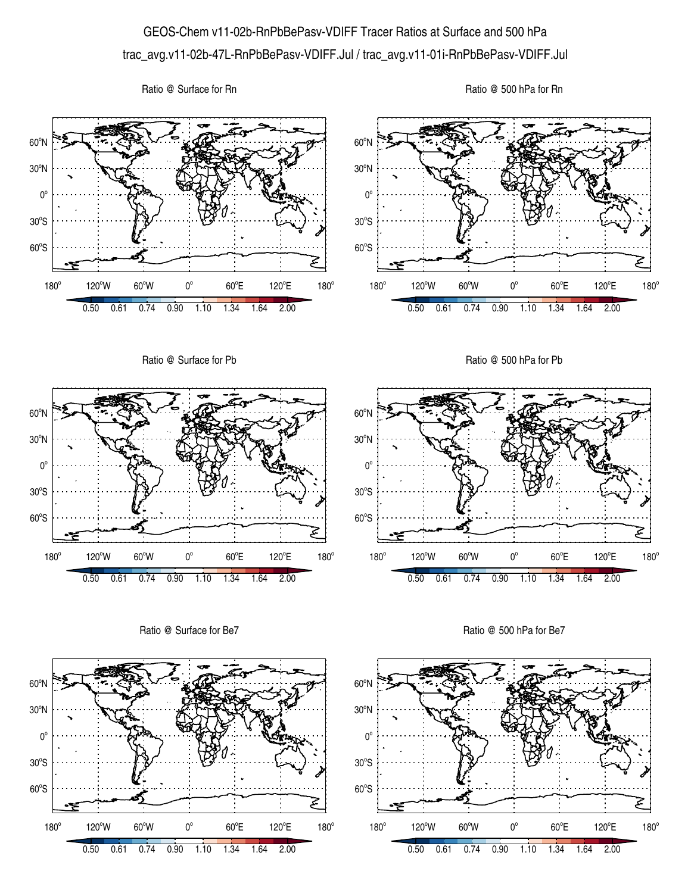## GEOS-Chem v11-02b-RnPbBePasv-VDIFF Tracer Ratios at Surface and 500 hPa trac\_avg.v11-02b-47L-RnPbBePasv-VDIFF.Jul / trac\_avg.v11-01i-RnPbBePasv-VDIFF.Jul

Ratio @ Surface for Rn





Ratio @ Surface for Be7



Ratio @ 500 hPa for Be7